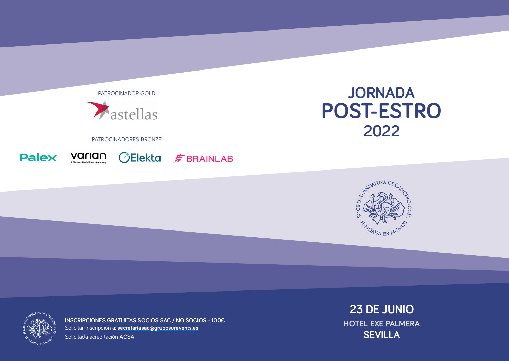PATROCINADOR GOLD:



### PATROCINADORES BRONZE:







# **JORNADA POST-ESTRO 2022**





**INSCRIPCIONES GRATUITAS SOCIOS SAC / NO SOCIOS - 100€** Solicitar inscripción a: **[secretariasac@gruposurevents.es](mailto:secretariasac@gruposurevents.es)** Solicitada acreditación **ACSA**

**23 DE JUNIO HOTEL EXE PALMERA SEVILLA**